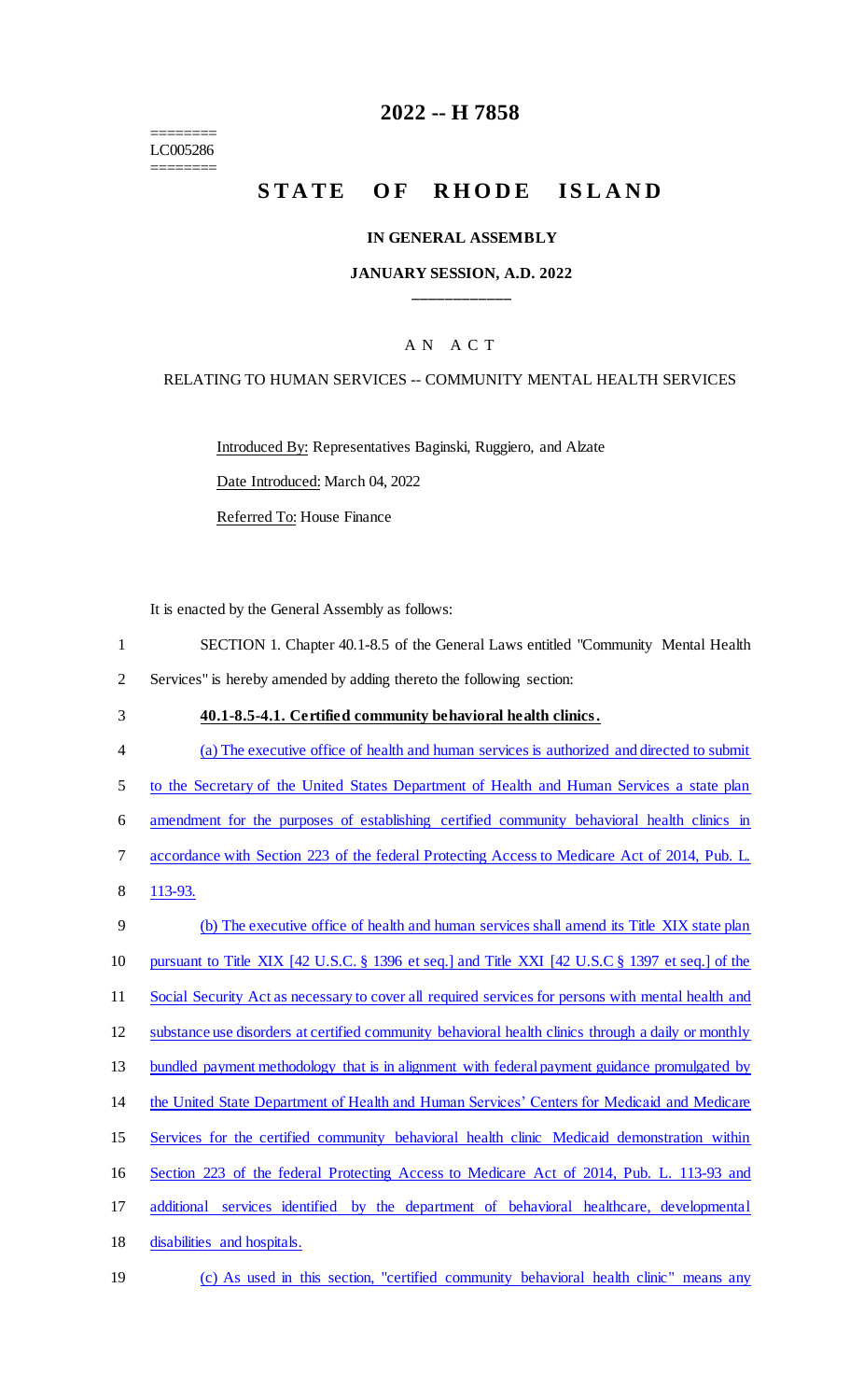======== LC005286 ========

### **2022 -- H 7858**

# STATE OF RHODE ISLAND

#### **IN GENERAL ASSEMBLY**

#### **JANUARY SESSION, A.D. 2022 \_\_\_\_\_\_\_\_\_\_\_\_**

#### A N A C T

#### RELATING TO HUMAN SERVICES -- COMMUNITY MENTAL HEALTH SERVICES

Introduced By: Representatives Baginski, Ruggiero, and Alzate

Date Introduced: March 04, 2022

Referred To: House Finance

It is enacted by the General Assembly as follows:

| SECTION 1. Chapter 40.1-8.5 of the General Laws entitled "Community Mental Health" |  |
|------------------------------------------------------------------------------------|--|
| Services" is hereby amended by adding thereto the following section:               |  |

- 3 **40.1-8.5-4.1. Certified community behavioral health clinics.**
- 4 (a) The executive office of health and human services is authorized and directed to submit 5 to the Secretary of the United States Department of Health and Human Services a state plan 6 amendment for the purposes of establishing certified community behavioral health clinics in 7 accordance with Section 223 of the federal Protecting Access to Medicare Act of 2014, Pub. L. 8 113-93. 9 (b) The executive office of health and human services shall amend its Title XIX state plan 10 pursuant to Title XIX [42 U.S.C. § 1396 et seq.] and Title XXI [42 U.S.C § 1397 et seq.] of the 11 Social Security Act as necessary to cover all required services for persons with mental health and 12 substance use disorders at certified community behavioral health clinics through a daily or monthly 13 bundled payment methodology that is in alignment with federal payment guidance promulgated by 14 the United State Department of Health and Human Services' Centers for Medicaid and Medicare 15 Services for the certified community behavioral health clinic Medicaid demonstration within 16 Section 223 of the federal Protecting Access to Medicare Act of 2014, Pub. L. 113-93 and 17 additional services identified by the department of behavioral healthcare, developmental 18 disabilities and hospitals. 19 (c) As used in this section, "certified community behavioral health clinic" means any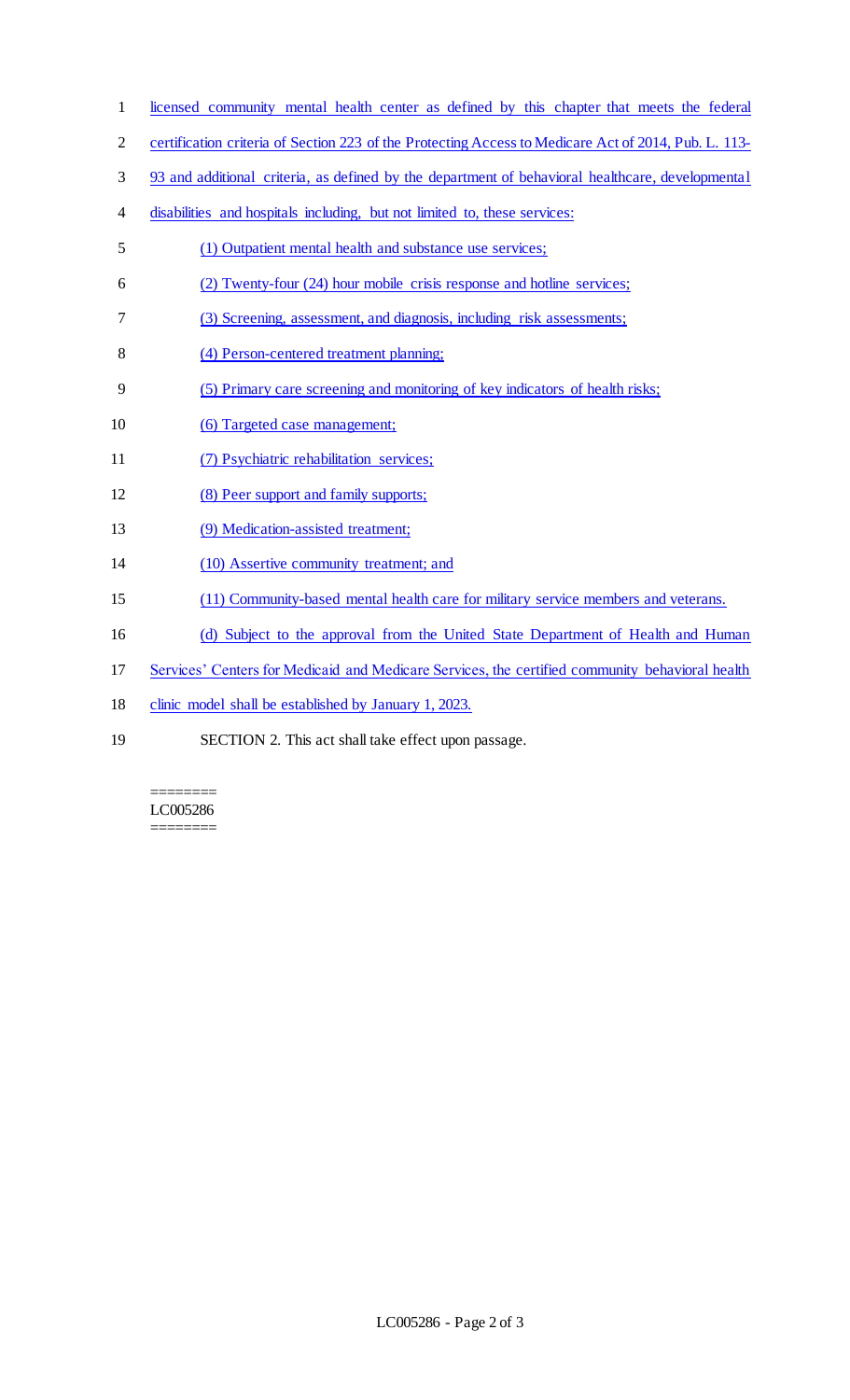- licensed community mental health center as defined by this chapter that meets the federal
- certification criteria of Section 223 of the Protecting Access to Medicare Act of 2014, Pub. L. 113-
- 93 and additional criteria, as defined by the department of behavioral healthcare, developmental
- disabilities and hospitals including, but not limited to, these services:
- (1) Outpatient mental health and substance use services;
- (2) Twenty-four (24) hour mobile crisis response and hotline services;
- (3) Screening, assessment, and diagnosis, including risk assessments;
- (4) Person-centered treatment planning;
- (5) Primary care screening and monitoring of key indicators of health risks;
- (6) Targeted case management;
- (7) Psychiatric rehabilitation services;
- (8) Peer support and family supports;
- (9) Medication-assisted treatment;
- (10) Assertive community treatment; and
- (11) Community-based mental health care for military service members and veterans.
- (d) Subject to the approval from the United State Department of Health and Human
- Services' Centers for Medicaid and Medicare Services, the certified community behavioral health
- clinic model shall be established by January 1, 2023.
- SECTION 2. This act shall take effect upon passage.

======== LC005286 ========